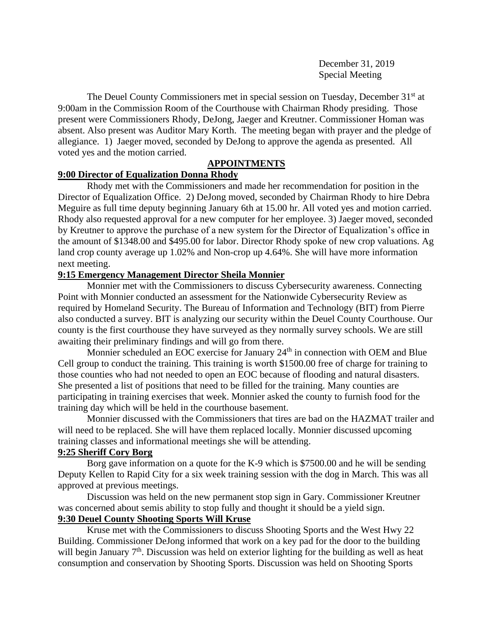December 31, 2019 Special Meeting

The Deuel County Commissioners met in special session on Tuesday, December 31<sup>st</sup> at 9:00am in the Commission Room of the Courthouse with Chairman Rhody presiding. Those present were Commissioners Rhody, DeJong, Jaeger and Kreutner. Commissioner Homan was absent. Also present was Auditor Mary Korth. The meeting began with prayer and the pledge of allegiance. 1) Jaeger moved, seconded by DeJong to approve the agenda as presented. All voted yes and the motion carried.

## **APPOINTMENTS**

## **9:00 Director of Equalization Donna Rhody**

Rhody met with the Commissioners and made her recommendation for position in the Director of Equalization Office. 2) DeJong moved, seconded by Chairman Rhody to hire Debra Meguire as full time deputy beginning January 6th at 15.00 hr. All voted yes and motion carried. Rhody also requested approval for a new computer for her employee. 3) Jaeger moved, seconded by Kreutner to approve the purchase of a new system for the Director of Equalization's office in the amount of \$1348.00 and \$495.00 for labor. Director Rhody spoke of new crop valuations. Ag land crop county average up 1.02% and Non-crop up 4.64%. She will have more information next meeting.

## **9:15 Emergency Management Director Sheila Monnier**

Monnier met with the Commissioners to discuss Cybersecurity awareness. Connecting Point with Monnier conducted an assessment for the Nationwide Cybersecurity Review as required by Homeland Security. The Bureau of Information and Technology (BIT) from Pierre also conducted a survey. BIT is analyzing our security within the Deuel County Courthouse. Our county is the first courthouse they have surveyed as they normally survey schools. We are still awaiting their preliminary findings and will go from there.

Monnier scheduled an EOC exercise for January 24<sup>th</sup> in connection with OEM and Blue Cell group to conduct the training. This training is worth \$1500.00 free of charge for training to those counties who had not needed to open an EOC because of flooding and natural disasters. She presented a list of positions that need to be filled for the training. Many counties are participating in training exercises that week. Monnier asked the county to furnish food for the training day which will be held in the courthouse basement.

Monnier discussed with the Commissioners that tires are bad on the HAZMAT trailer and will need to be replaced. She will have them replaced locally. Monnier discussed upcoming training classes and informational meetings she will be attending.

## **9:25 Sheriff Cory Borg**

Borg gave information on a quote for the K-9 which is \$7500.00 and he will be sending Deputy Kellen to Rapid City for a six week training session with the dog in March. This was all approved at previous meetings.

Discussion was held on the new permanent stop sign in Gary. Commissioner Kreutner was concerned about semis ability to stop fully and thought it should be a yield sign.

# **9:30 Deuel County Shooting Sports Will Kruse**

Kruse met with the Commissioners to discuss Shooting Sports and the West Hwy 22 Building. Commissioner DeJong informed that work on a key pad for the door to the building will begin January 7<sup>th</sup>. Discussion was held on exterior lighting for the building as well as heat consumption and conservation by Shooting Sports. Discussion was held on Shooting Sports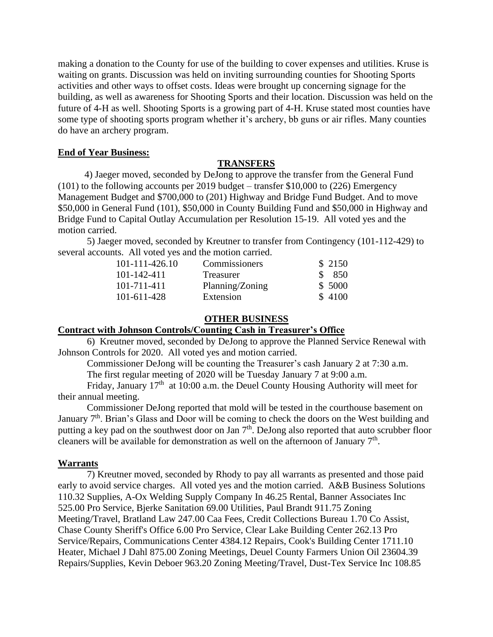making a donation to the County for use of the building to cover expenses and utilities. Kruse is waiting on grants. Discussion was held on inviting surrounding counties for Shooting Sports activities and other ways to offset costs. Ideas were brought up concerning signage for the building, as well as awareness for Shooting Sports and their location. Discussion was held on the future of 4-H as well. Shooting Sports is a growing part of 4-H. Kruse stated most counties have some type of shooting sports program whether it's archery, bb guns or air rifles. Many counties do have an archery program.

### **End of Year Business:**

#### **TRANSFERS**

 4) Jaeger moved, seconded by DeJong to approve the transfer from the General Fund (101) to the following accounts per 2019 budget – transfer \$10,000 to (226) Emergency Management Budget and \$700,000 to (201) Highway and Bridge Fund Budget. And to move \$50,000 in General Fund (101), \$50,000 in County Building Fund and \$50,000 in Highway and Bridge Fund to Capital Outlay Accumulation per Resolution 15-19. All voted yes and the motion carried.

5) Jaeger moved, seconded by Kreutner to transfer from Contingency (101-112-429) to several accounts. All voted yes and the motion carried.

| 101-111-426.10 | Commissioners   | \$2150 |
|----------------|-----------------|--------|
| 101-142-411    | Treasurer       | \$ 850 |
| 101-711-411    | Planning/Zoning | \$5000 |
| 101-611-428    | Extension       | \$4100 |

### **OTHER BUSINESS**

## **Contract with Johnson Controls/Counting Cash in Treasurer's Office**

6) Kreutner moved, seconded by DeJong to approve the Planned Service Renewal with Johnson Controls for 2020. All voted yes and motion carried.

Commissioner DeJong will be counting the Treasurer's cash January 2 at 7:30 a.m.

The first regular meeting of 2020 will be Tuesday January 7 at 9:00 a.m.

Friday, January  $17<sup>th</sup>$  at 10:00 a.m. the Deuel County Housing Authority will meet for their annual meeting.

Commissioner DeJong reported that mold will be tested in the courthouse basement on January  $7<sup>th</sup>$ . Brian's Glass and Door will be coming to check the doors on the West building and putting a key pad on the southwest door on Jan  $7<sup>th</sup>$ . DeJong also reported that auto scrubber floor cleaners will be available for demonstration as well on the afternoon of January  $7<sup>th</sup>$ .

#### **Warrants**

7) Kreutner moved, seconded by Rhody to pay all warrants as presented and those paid early to avoid service charges. All voted yes and the motion carried. A&B Business Solutions 110.32 Supplies, A-Ox Welding Supply Company In 46.25 Rental, Banner Associates Inc 525.00 Pro Service, Bjerke Sanitation 69.00 Utilities, Paul Brandt 911.75 Zoning Meeting/Travel, Bratland Law 247.00 Caa Fees, Credit Collections Bureau 1.70 Co Assist, Chase County Sheriff's Office 6.00 Pro Service, Clear Lake Building Center 262.13 Pro Service/Repairs, Communications Center 4384.12 Repairs, Cook's Building Center 1711.10 Heater, Michael J Dahl 875.00 Zoning Meetings, Deuel County Farmers Union Oil 23604.39 Repairs/Supplies, Kevin Deboer 963.20 Zoning Meeting/Travel, Dust-Tex Service Inc 108.85